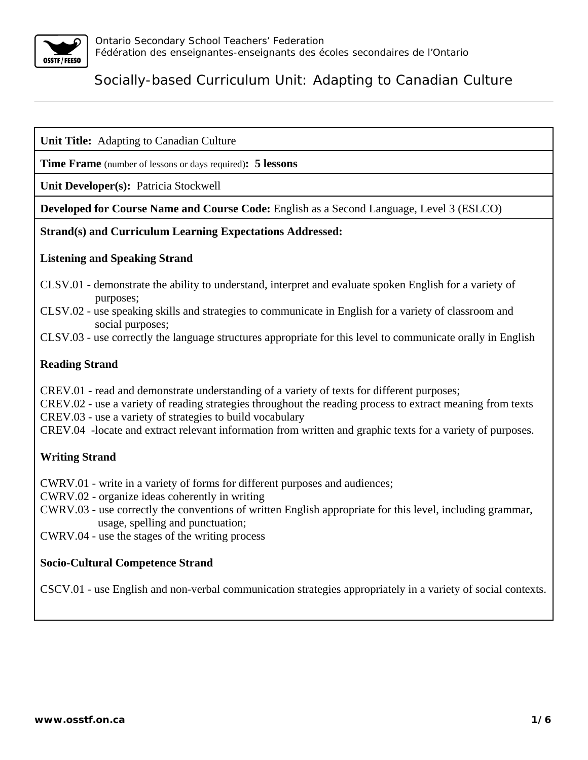

**Unit Title:** Adapting to Canadian Culture

**Time Frame** (number of lessons or days required)**: 5 lessons**

**Unit Developer(s):** Patricia Stockwell

**Developed for Course Name and Course Code:** English as a Second Language, Level 3 (ESLCO)

## **Strand(s) and Curriculum Learning Expectations Addressed:**

## **Listening and Speaking Strand**

- CLSV.01 demonstrate the ability to understand, interpret and evaluate spoken English for a variety of purposes;
- CLSV.02 use speaking skills and strategies to communicate in English for a variety of classroom and social purposes;
- CLSV.03 use correctly the language structures appropriate for this level to communicate orally in English

# **Reading Strand**

CREV.01 - read and demonstrate understanding of a variety of texts for different purposes;

CREV.02 - use a variety of reading strategies throughout the reading process to extract meaning from texts

CREV.03 - use a variety of strategies to build vocabulary

CREV.04 -locate and extract relevant information from written and graphic texts for a variety of purposes.

# **Writing Strand**

CWRV.01 - write in a variety of forms for different purposes and audiences;

CWRV.02 - organize ideas coherently in writing

CWRV.03 - use correctly the conventions of written English appropriate for this level, including grammar, usage, spelling and punctuation;

CWRV.04 - use the stages of the writing process

### **Socio-Cultural Competence Strand**

CSCV.01 - use English and non-verbal communication strategies appropriately in a variety of social contexts.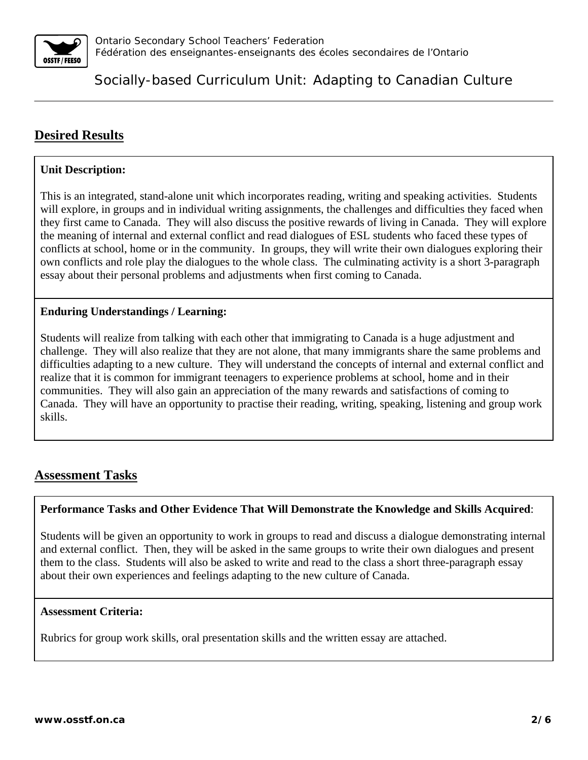

# **Desired Results**

## **Unit Description:**

This is an integrated, stand-alone unit which incorporates reading, writing and speaking activities. Students will explore, in groups and in individual writing assignments, the challenges and difficulties they faced when they first came to Canada. They will also discuss the positive rewards of living in Canada. They will explore the meaning of internal and external conflict and read dialogues of ESL students who faced these types of conflicts at school, home or in the community. In groups, they will write their own dialogues exploring their own conflicts and role play the dialogues to the whole class. The culminating activity is a short 3-paragraph essay about their personal problems and adjustments when first coming to Canada.

## **Enduring Understandings / Learning:**

Students will realize from talking with each other that immigrating to Canada is a huge adjustment and challenge. They will also realize that they are not alone, that many immigrants share the same problems and difficulties adapting to a new culture. They will understand the concepts of internal and external conflict and realize that it is common for immigrant teenagers to experience problems at school, home and in their communities. They will also gain an appreciation of the many rewards and satisfactions of coming to Canada. They will have an opportunity to practise their reading, writing, speaking, listening and group work skills.

# **Assessment Tasks**

### **Performance Tasks and Other Evidence That Will Demonstrate the Knowledge and Skills Acquired**:

Students will be given an opportunity to work in groups to read and discuss a dialogue demonstrating internal and external conflict. Then, they will be asked in the same groups to write their own dialogues and present them to the class. Students will also be asked to write and read to the class a short three-paragraph essay about their own experiences and feelings adapting to the new culture of Canada.

### **Assessment Criteria:**

Rubrics for group work skills, oral presentation skills and the written essay are attached.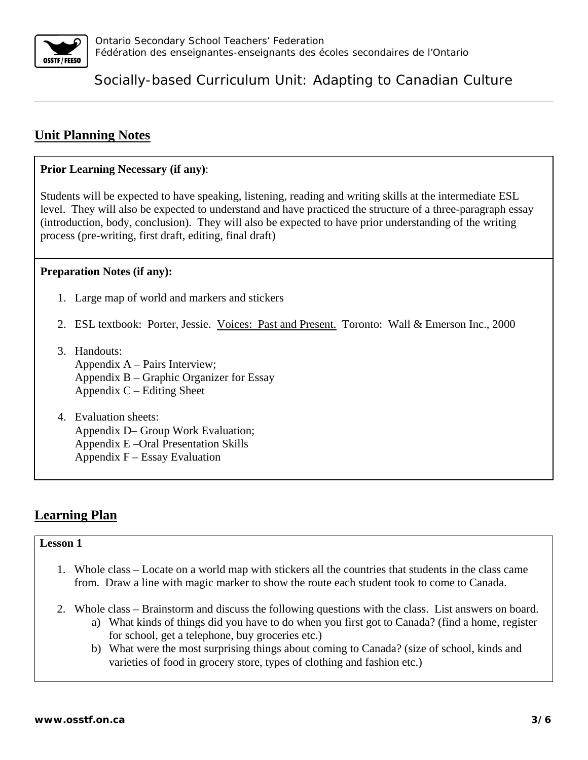

# **Unit Planning Notes**

# **Prior Learning Necessary (if any)**:

Students will be expected to have speaking, listening, reading and writing skills at the intermediate ESL level. They will also be expected to understand and have practiced the structure of a three-paragraph essay (introduction, body, conclusion). They will also be expected to have prior understanding of the writing process (pre-writing, first draft, editing, final draft)

# **Preparation Notes (if any):**

- 1. Large map of world and markers and stickers
- 2. ESL textbook: Porter, Jessie. Voices: Past and Present. Toronto: Wall & Emerson Inc., 2000
- 3. Handouts: Appendix A – Pairs Interview; Appendix B – Graphic Organizer for Essay Appendix  $C$  – Editing Sheet
- 4. Evaluation sheets: Appendix D– Group Work Evaluation; Appendix E –Oral Presentation Skills Appendix  $F - E$ ssay Evaluation

# **Learning Plan**

### **Lesson 1**

- 1. Whole class Locate on a world map with stickers all the countries that students in the class came from. Draw a line with magic marker to show the route each student took to come to Canada.
- 2. Whole class Brainstorm and discuss the following questions with the class. List answers on board.
	- a) What kinds of things did you have to do when you first got to Canada? (find a home, register for school, get a telephone, buy groceries etc.)
	- b) What were the most surprising things about coming to Canada? (size of school, kinds and varieties of food in grocery store, types of clothing and fashion etc.)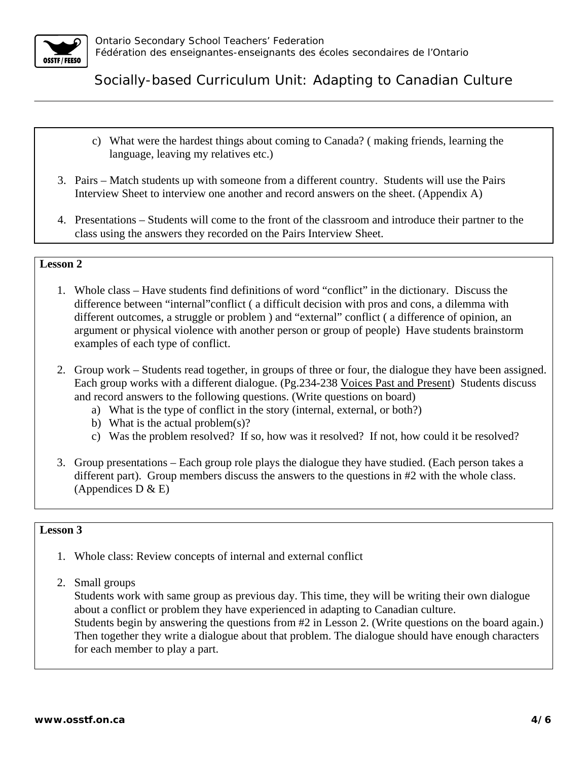

- c) What were the hardest things about coming to Canada? ( making friends, learning the language, leaving my relatives etc.)
- 3. Pairs Match students up with someone from a different country. Students will use the Pairs Interview Sheet to interview one another and record answers on the sheet. (Appendix A)
- 4. Presentations Students will come to the front of the classroom and introduce their partner to the class using the answers they recorded on the Pairs Interview Sheet.

## **Lesson 2**

- 1. Whole class Have students find definitions of word "conflict" in the dictionary. Discuss the difference between "internal"conflict ( a difficult decision with pros and cons, a dilemma with different outcomes, a struggle or problem ) and "external" conflict ( a difference of opinion, an argument or physical violence with another person or group of people) Have students brainstorm examples of each type of conflict.
- 2. Group work Students read together, in groups of three or four, the dialogue they have been assigned. Each group works with a different dialogue. (Pg.234-238 Voices Past and Present) Students discuss and record answers to the following questions. (Write questions on board)
	- a) What is the type of conflict in the story (internal, external, or both?)
	- b) What is the actual problem(s)?
	- c) Was the problem resolved? If so, how was it resolved? If not, how could it be resolved?
- 3. Group presentations Each group role plays the dialogue they have studied. (Each person takes a different part). Group members discuss the answers to the questions in #2 with the whole class. (Appendices  $D & E$ )

### **Lesson 3**

- 1. Whole class: Review concepts of internal and external conflict
- 2. Small groups

Students work with same group as previous day. This time, they will be writing their own dialogue about a conflict or problem they have experienced in adapting to Canadian culture. Students begin by answering the questions from #2 in Lesson 2. (Write questions on the board again.) Then together they write a dialogue about that problem. The dialogue should have enough characters for each member to play a part.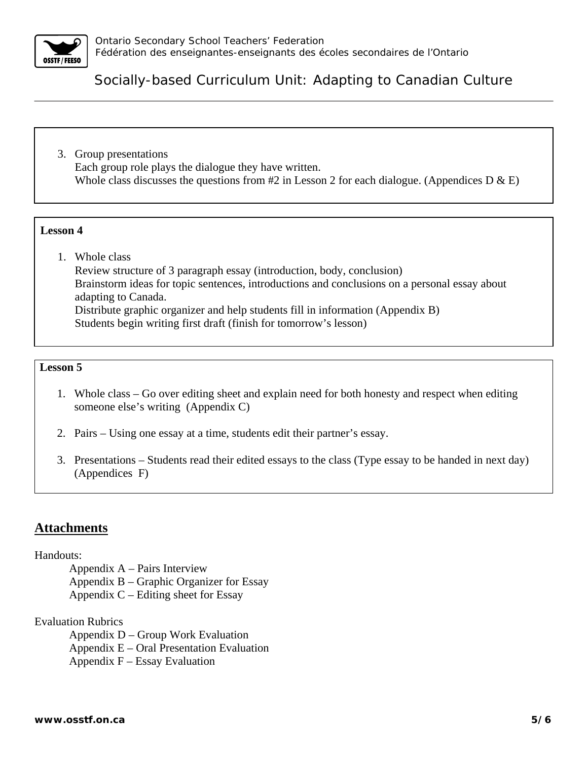

3. Group presentations Each group role plays the dialogue they have written. Whole class discusses the questions from #2 in Lesson 2 for each dialogue. (Appendices  $D \& E$ )

#### **Lesson 4**

1. Whole class

Review structure of 3 paragraph essay (introduction, body, conclusion) Brainstorm ideas for topic sentences, introductions and conclusions on a personal essay about adapting to Canada. Distribute graphic organizer and help students fill in information (Appendix B) Students begin writing first draft (finish for tomorrow's lesson)

#### **Lesson 5**

- 1. Whole class Go over editing sheet and explain need for both honesty and respect when editing someone else's writing (Appendix C)
- 2. Pairs Using one essay at a time, students edit their partner's essay.
- 3. Presentations Students read their edited essays to the class (Type essay to be handed in next day) (Appendices F)

# **Attachments**

#### Handouts:

- Appendix A Pairs Interview
- Appendix B Graphic Organizer for Essay
- Appendix  $C$  Editing sheet for Essay

#### Evaluation Rubrics

- Appendix D Group Work Evaluation
- Appendix E Oral Presentation Evaluation
- Appendix  $F E$ ssay Evaluation